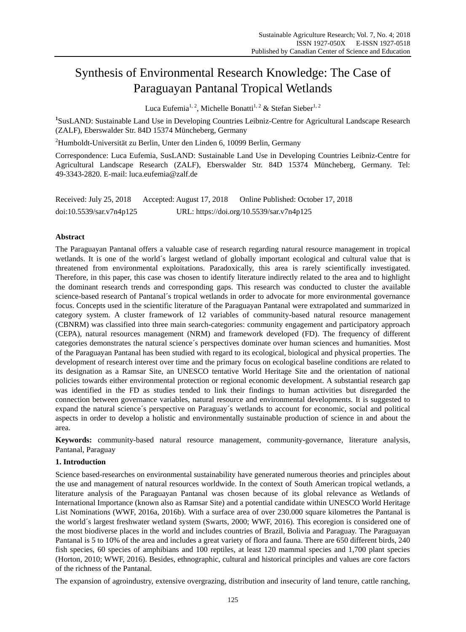# Synthesis of Environmental Research Knowledge: The Case of Paraguayan Pantanal Tropical Wetlands

Luca Eufemia<sup>1, 2</sup>, Michelle Bonatti<sup>1, 2</sup> & Stefan Sieber<sup>1, 2</sup>

<sup>1</sup>SusLAND: Sustainable Land Use in Developing Countries Leibniz-Centre for Agricultural Landscape Research (ZALF), Eberswalder Str. 84D 15374 Müncheberg, Germany

 $^{2}$ Humboldt-Universität zu Berlin, Unter den Linden 6, 10099 Berlin, Germany

Correspondence: Luca Eufemia, SusLAND: Sustainable Land Use in Developing Countries Leibniz-Centre for Agricultural Landscape Research (ZALF), Eberswalder Str. 84D 15374 Müncheberg, Germany. Tel: 49-3343-2820. E-mail: luca.eufemia@zalf.de

| Received: July 25, 2018  | Accepted: August 17, 2018 | Online Published: October 17, 2018        |
|--------------------------|---------------------------|-------------------------------------------|
| doi:10.5539/sar.v7n4p125 |                           | URL: https://doi.org/10.5539/sar.v7n4p125 |

# **Abstract**

The Paraguayan Pantanal offers a valuable case of research regarding natural resource management in tropical wetlands. It is one of the world  $\hat{s}$  largest wetland of globally important ecological and cultural value that is threatened from environmental exploitations. Paradoxically, this area is rarely scientifically investigated. Therefore, in this paper, this case was chosen to identify literature indirectly related to the area and to highlight the dominant research trends and corresponding gaps. This research was conducted to cluster the available science-based research of Pantanal  $\acute{\text{s}}$  tropical wetlands in order to advocate for more environmental governance focus. Concepts used in the scientific literature of the Paraguayan Pantanal were extrapolated and summarized in category system. A cluster framework of 12 variables of community-based natural resource management (CBNRM) was classified into three main search-categories: community engagement and participatory approach (CEPA), natural resources management (NRM) and framework developed (FD). The frequency of different categories demonstrates the natural science  $\acute{\text{s}}$  perspectives dominate over human sciences and humanities. Most of the Paraguayan Pantanal has been studied with regard to its ecological, biological and physical properties. The development of research interest over time and the primary focus on ecological baseline conditions are related to its designation as a Ramsar Site, an UNESCO tentative World Heritage Site and the orientation of national policies towards either environmental protection or regional economic development. A substantial research gap was identified in the FD as studies tended to link their findings to human activities but disregarded the connection between governance variables, natural resource and environmental developments. It is suggested to expand the natural science  $\acute{\text{s}}$  perspective on Paraguay  $\acute{\text{s}}$  wetlands to account for economic, social and political aspects in order to develop a holistic and environmentally sustainable production of science in and about the area.

**Keywords:** community-based natural resource management, community-governance, literature analysis, Pantanal, Paraguay

# **1. Introduction**

Science based-researches on environmental sustainability have generated numerous theories and principles about the use and management of natural resources worldwide. In the context of South American tropical wetlands, a literature analysis of the Paraguayan Pantanal was chosen because of its global relevance as Wetlands of International Importance (known also as Ramsar Site) and a potential candidate within UNESCO World Heritage List Nominations (WWF, 2016a, 2016b). With a surface area of over 230.000 square kilometres the Pantanal is the world  $\acute{\text{s}}$  largest freshwater wetland system (Swarts, 2000; WWF, 2016). This ecoregion is considered one of the most biodiverse places in the world and includes countries of Brazil, Bolivia and Paraguay. The Paraguayan Pantanal is 5 to 10% of the area and includes a great variety of flora and fauna. There are 650 different birds, 240 fish species, 60 species of amphibians and 100 reptiles, at least 120 mammal species and 1,700 plant species (Horton, 2010; WWF, 2016). Besides, ethnographic, cultural and historical principles and values are core factors of the richness of the Pantanal.

The expansion of agroindustry, extensive overgrazing, distribution and insecurity of land tenure, cattle ranching,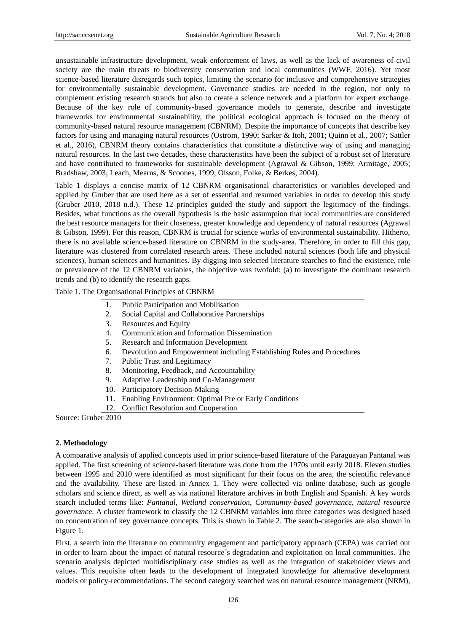unsustainable infrastructure development, weak enforcement of laws, as well as the lack of awareness of civil society are the main threats to biodiversity conservation and local communities (WWF, 2016). Yet most science-based literature disregards such topics, limiting the scenario for inclusive and comprehensive strategies for environmentally sustainable development. Governance studies are needed in the region, not only to complement existing research strands but also to create a science network and a platform for expert exchange. Because of the key role of community-based governance models to generate, describe and investigate frameworks for environmental sustainability, the political ecological approach is focused on the theory of community-based natural resource management (CBNRM). Despite the importance of concepts that describe key factors for using and managing natural resources (Ostrom, 1990; Sarker & Itoh, 2001; Quinn et al., 2007; Sattler et al., 2016), CBNRM theory contains characteristics that constitute a distinctive way of using and managing natural resources. In the last two decades, these characteristics have been the subject of a robust set of literature and have contributed to frameworks for sustainable development (Agrawal & Gibson, 1999; Armitage, 2005; Bradshaw, 2003; Leach, Mearns, & Scoones, 1999; Olsson, Folke, & Berkes, 2004).

Table 1 displays a concise matrix of 12 CBNRM organisational characteristics or variables developed and applied by Gruber that are used here as a set of essential and resumed variables in order to develop this study (Gruber 2010, 2018 n.d.). These 12 principles guided the study and support the legitimacy of the findings. Besides, what functions as the overall hypothesis is the basic assumption that local communities are considered the best resource managers for their closeness, greater knowledge and dependency of natural resources (Agrawal & Gibson, 1999). For this reason, CBNRM is crucial for science works of environmental sustainability. Hitherto, there is no available science-based literature on CBNRM in the study-area. Therefore, in order to fill this gap, literature was clustered from correlated research areas. These included natural sciences (both life and physical sciences), human sciences and humanities. By digging into selected literature searches to find the existence, role or prevalence of the 12 CBNRM variables, the objective was twofold: (a) to investigate the dominant research trends and (b) to identify the research gaps.

Table 1. The Organisational Principles of CBNRM

- 1. Public Participation and Mobilisation
- 2. Social Capital and Collaborative Partnerships
- 3. Resources and Equity
- 4. Communication and Information Dissemination
- 5. Research and Information Development
- 6. Devolution and Empowerment including Establishing Rules and Procedures
- 7. Public Trust and Legitimacy
- 8. Monitoring, Feedback, and Accountability
- 9. Adaptive Leadership and Co-Management
- 10. Participatory Decision-Making
- 11. Enabling Environment: Optimal Pre or Early Conditions
- 12. Conflict Resolution and Cooperation

Source: Gruber 2010

## **2. Methodology**

A comparative analysis of applied concepts used in prior science-based literature of the Paraguayan Pantanal was applied. The first screening of science-based literature was done from the 1970s until early 2018. Eleven studies between 1995 and 2010 were identified as most significant for their focus on the area, the scientific relevance and the availability. These are listed in Annex 1. They were collected via online database, such as google scholars and science direct, as well as via national literature archives in both English and Spanish. A key words search included terms like: *Pantanal*, *Wetland conservation*, *Community-based governance*, *natural resource governance*. A cluster framework to classify the 12 CBNRM variables into three categories was designed based on concentration of key governance concepts. This is shown in Table 2. The search-categories are also shown in Figure 1.

First, a search into the literature on community engagement and participatory approach (CEPA) was carried out in order to learn about the impact of natural resource  $\acute{\text{s}}$  degradation and exploitation on local communities. The scenario analysis depicted multidisciplinary case studies as well as the integration of stakeholder views and values. This requisite often leads to the development of integrated knowledge for alternative development models or policy-recommendations. The second category searched was on natural resource management (NRM),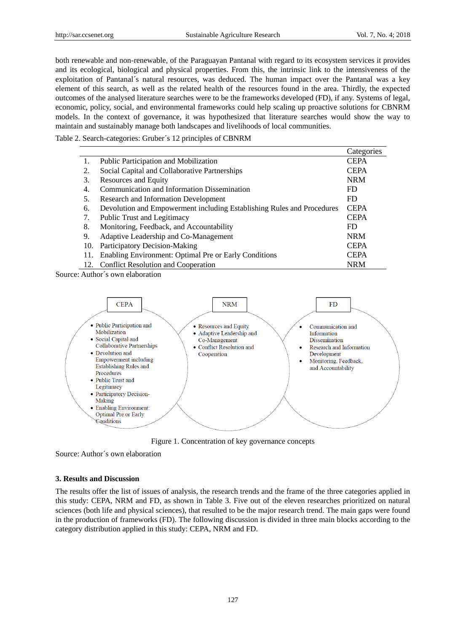both renewable and non-renewable, of the Paraguayan Pantanal with regard to its ecosystem services it provides and its ecological, biological and physical properties. From this, the intrinsic link to the intensiveness of the exploitation of Pantanal  $\hat{s}$  natural resources, was deduced. The human impact over the Pantanal was a key element of this search, as well as the related health of the resources found in the area. Thirdly, the expected outcomes of the analysed literature searches were to be the frameworks developed (FD), if any. Systems of legal, economic, policy, social, and environmental frameworks could help scaling up proactive solutions for CBNRM models. In the context of governance, it was hypothesized that literature searches would show the way to maintain and sustainably manage both landscapes and livelihoods of local communities.

Table 2. Search-categories: Gruber´s 12 principles of CBNRM

|     |                                                                        | Categories  |
|-----|------------------------------------------------------------------------|-------------|
|     | Public Participation and Mobilization                                  | <b>CEPA</b> |
| 2.  | Social Capital and Collaborative Partnerships                          | <b>CEPA</b> |
| 3.  | Resources and Equity                                                   | <b>NRM</b>  |
| 4.  | Communication and Information Dissemination                            | FD          |
| 5.  | Research and Information Development                                   | FD          |
| 6.  | Devolution and Empowerment including Establishing Rules and Procedures | <b>CEPA</b> |
| 7.  | Public Trust and Legitimacy                                            | <b>CEPA</b> |
| 8.  | Monitoring, Feedback, and Accountability                               | FD          |
| 9.  | Adaptive Leadership and Co-Management                                  | <b>NRM</b>  |
| 10. | Participatory Decision-Making                                          | <b>CEPA</b> |
| 11. | Enabling Environment: Optimal Pre or Early Conditions                  | <b>CEPA</b> |
|     | 12. Conflict Resolution and Cooperation                                | <b>NRM</b>  |

Source: Author  $\acute{\text{s}}$  own elaboration



Figure 1. Concentration of key governance concepts

Source: Author´s own elaboration

## **3. Results and Discussion**

The results offer the list of issues of analysis, the research trends and the frame of the three categories applied in this study: CEPA, NRM and FD, as shown in Table 3. Five out of the eleven researches prioritized on natural sciences (both life and physical sciences), that resulted to be the major research trend. The main gaps were found in the production of frameworks (FD). The following discussion is divided in three main blocks according to the category distribution applied in this study: CEPA, NRM and FD.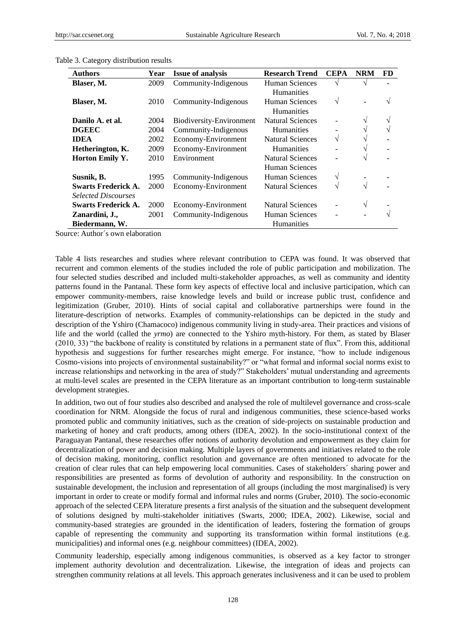| <b>Authors</b>             | Year | <b>Issue of analysis</b> | <b>Research Trend</b>   | <b>CEPA</b> | <b>NRM</b> | FD. |
|----------------------------|------|--------------------------|-------------------------|-------------|------------|-----|
| Blaser, M.                 | 2009 | Community-Indigenous     | Human Sciences          | ٦           |            |     |
|                            |      |                          | <b>Humanities</b>       |             |            |     |
| Blaser, M.                 | 2010 | Community-Indigenous     | Human Sciences          | V           |            | V   |
|                            |      |                          | <b>Humanities</b>       |             |            |     |
| Danilo A. et al.           | 2004 | Biodiversity-Environment | Natural Sciences        |             |            | V   |
| <b>DGEEC</b>               | 2004 | Community-Indigenous     | <b>Humanities</b>       |             |            | V   |
| <b>IDEA</b>                | 2002 | Economy-Environment      | <b>Natural Sciences</b> | V           |            |     |
| Hetherington, K.           | 2009 | Economy-Environment      | <b>Humanities</b>       |             |            |     |
| <b>Horton Emily Y.</b>     | 2010 | Environment              | <b>Natural Sciences</b> |             |            |     |
|                            |      |                          | <b>Human Sciences</b>   |             |            |     |
| Susnik, B.                 | 1995 | Community-Indigenous     | Human Sciences<br>V     |             |            |     |
| <b>Swarts Frederick A.</b> | 2000 | Economy-Environment      | <b>Natural Sciences</b> | N           | V          |     |
| <b>Selected Discourses</b> |      |                          |                         |             |            |     |
| <b>Swarts Frederick A.</b> | 2000 | Economy-Environment      | Natural Sciences        |             | $\sqrt{ }$ |     |
| Zanardini, J.,             | 2001 | Community-Indigenous     | Human Sciences          |             |            | N   |
| Biedermann, W.             |      |                          | <b>Humanities</b>       |             |            |     |

Table 3. Category distribution results

Source: Author´s own elaboration

Table 4 lists researches and studies where relevant contribution to CEPA was found. It was observed that recurrent and common elements of the studies included the role of public participation and mobilization. The four selected studies described and included multi-stakeholder approaches, as well as community and identity patterns found in the Pantanal. These form key aspects of effective local and inclusive participation, which can empower community-members, raise knowledge levels and build or increase public trust, confidence and legitimization (Gruber, 2010). Hints of social capital and collaborative partnerships were found in the literature-description of networks. Examples of community-relationships can be depicted in the study and description of the Yshiro (Chamacoco) indigenous community living in study-area. Their practices and visions of life and the world (called the *yrmo*) are connected to the Yshiro myth-history. For them, as stated by Blaser (2010, 33) "the backbone of reality is constituted by relations in a permanent state of flux". From this, additional hypothesis and suggestions for further researches might emerge. For instance, "how to include indigenous Cosmo-visions into projects of environmental sustainability?" or "what formal and informal social norms exist to increase relationships and networking in the area of study?" Stakeholders' mutual understanding and agreements at multi-level scales are presented in the CEPA literature as an important contribution to long-term sustainable development strategies.

In addition, two out of four studies also described and analysed the role of multilevel governance and cross-scale coordination for NRM. Alongside the focus of rural and indigenous communities, these science-based works promoted public and community initiatives, such as the creation of side-projects on sustainable production and marketing of honey and craft products, among others (IDEA, 2002). In the socio-institutional context of the Paraguayan Pantanal, these researches offer notions of authority devolution and empowerment as they claim for decentralization of power and decision making. Multiple layers of governments and initiatives related to the role of decision making, monitoring, conflict resolution and governance are often mentioned to advocate for the creation of clear rules that can help empowering local communities. Cases of stakeholders´ sharing power and responsibilities are presented as forms of devolution of authority and responsibility. In the construction on sustainable development, the inclusion and representation of all groups (including the most marginalised) is very important in order to create or modify formal and informal rules and norms (Gruber, 2010). The socio-economic approach of the selected CEPA literature presents a first analysis of the situation and the subsequent development of solutions designed by multi-stakeholder initiatives (Swarts, 2000; IDEA, 2002). Likewise, social and community-based strategies are grounded in the identification of leaders, fostering the formation of groups capable of representing the community and supporting its transformation within formal institutions (e.g. municipalities) and informal ones (e.g. neighbour committees) (IDEA, 2002).

Community leadership, especially among indigenous communities, is observed as a key factor to stronger implement authority devolution and decentralization. Likewise, the integration of ideas and projects can strengthen community relations at all levels. This approach generates inclusiveness and it can be used to problem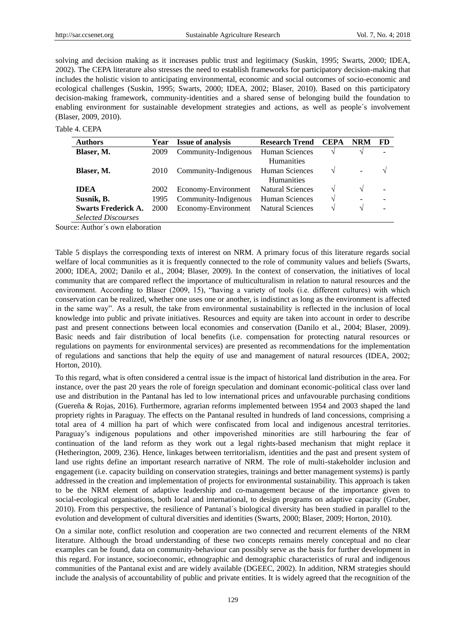solving and decision making as it increases public trust and legitimacy (Suskin, 1995; Swarts, 2000; IDEA, 2002). The CEPA literature also stresses the need to establish frameworks for participatory decision-making that includes the holistic vision to anticipating environmental, economic and social outcomes of socio-economic and ecological challenges (Suskin, 1995; Swarts, 2000; IDEA, 2002; Blaser, 2010). Based on this participatory decision-making framework, community-identities and a shared sense of belonging build the foundation to enabling environment for sustainable development strategies and actions, as well as people  $\acute{\text{s}}$  involvement (Blaser, 2009, 2010).

Table 4. CEPA

| <b>Authors</b>             | Year | <b>Issue of analysis</b> | <b>Research Trend</b>           | <b>CEPA</b> | <b>NRM</b>    | <b>FD</b> |
|----------------------------|------|--------------------------|---------------------------------|-------------|---------------|-----------|
| Blaser, M.                 | 2009 | Community-Indigenous     | <b>Human Sciences</b>           |             |               |           |
|                            |      |                          | <b>Humanities</b>               |             |               |           |
| Blaser, M.                 | 2010 | Community-Indigenous     | Human Sciences                  |             |               | N         |
|                            |      |                          | <b>Humanities</b>               |             |               |           |
| <b>IDEA</b>                | 2002 | Economy-Environment      | <b>Natural Sciences</b>         | N           |               |           |
| Susnik, B.                 | 1995 | Community-Indigenous     | Human Sciences<br>$\mathcal{N}$ |             | $\equiv$      |           |
| <b>Swarts Frederick A.</b> | 2000 | Economy-Environment      | <b>Natural Sciences</b><br>N    |             | $\mathcal{N}$ |           |
| <b>Selected Discourses</b> |      |                          |                                 |             |               |           |

Source: Author´s own elaboration

Table 5 displays the corresponding texts of interest on NRM. A primary focus of this literature regards social welfare of local communities as it is frequently connected to the role of community values and beliefs (Swarts, 2000; IDEA, 2002; Danilo et al., 2004; Blaser, 2009). In the context of conservation, the initiatives of local community that are compared reflect the importance of multiculturalism in relation to natural resources and the environment. According to Blaser (2009, 15), "having a variety of tools (i.e. different cultures) with which conservation can be realized, whether one uses one or another, is indistinct as long as the environment is affected in the same way". As a result, the take from environmental sustainability is reflected in the inclusion of local knowledge into public and private initiatives. Resources and equity are taken into account in order to describe past and present connections between local economies and conservation (Danilo et al., 2004; Blaser, 2009). Basic needs and fair distribution of local benefits (i.e. compensation for protecting natural resources or regulations on payments for environmental services) are presented as recommendations for the implementation of regulations and sanctions that help the equity of use and management of natural resources (IDEA, 2002; Horton, 2010).

To this regard, what is often considered a central issue is the impact of historical land distribution in the area. For instance, over the past 20 years the role of foreign speculation and dominant economic-political class over land use and distribution in the Pantanal has led to low international prices and unfavourable purchasing conditions (Guereña & Rojas, 2016). Furthermore, agrarian reforms implemented between 1954 and 2003 shaped the land propriety rights in Paraguay. The effects on the Pantanal resulted in hundreds of land concessions, comprising a total area of 4 million ha part of which were confiscated from local and indigenous ancestral territories. Paraguay's indigenous populations and other impoverished minorities are still harbouring the fear of continuation of the land reform as they work out a legal rights-based mechanism that might replace it (Hetherington, 2009, 236). Hence, linkages between territorialism, identities and the past and present system of land use rights define an important research narrative of NRM. The role of multi-stakeholder inclusion and engagement (i.e. capacity building on conservation strategies, trainings and better management systems) is partly addressed in the creation and implementation of projects for environmental sustainability. This approach is taken to be the NRM element of adaptive leadership and co-management because of the importance given to social-ecological organisations, both local and international, to design programs on adaptive capacity (Gruber, 2010). From this perspective, the resilience of Pantanal´s biological diversity has been studied in parallel to the evolution and development of cultural diversities and identities (Swarts, 2000; Blaser, 2009; Horton, 2010).

On a similar note, conflict resolution and cooperation are two connected and recurrent elements of the NRM literature. Although the broad understanding of these two concepts remains merely conceptual and no clear examples can be found, data on community-behaviour can possibly serve as the basis for further development in this regard. For instance, socioeconomic, ethnographic and demographic characteristics of rural and indigenous communities of the Pantanal exist and are widely available (DGEEC, 2002). In addition, NRM strategies should include the analysis of accountability of public and private entities. It is widely agreed that the recognition of the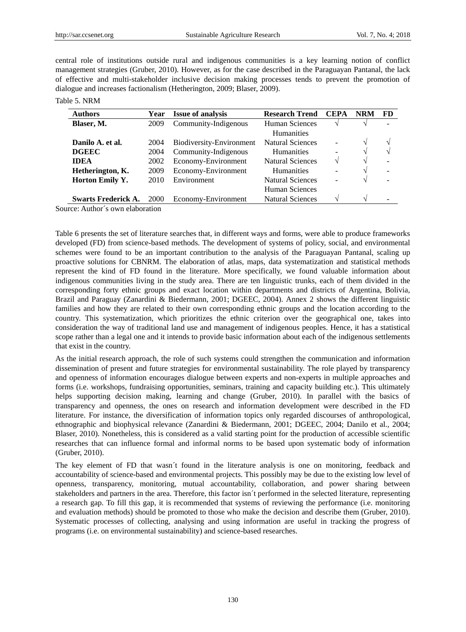central role of institutions outside rural and indigenous communities is a key learning notion of conflict management strategies (Gruber, 2010). However, as for the case described in the Paraguayan Pantanal, the lack of effective and multi-stakeholder inclusive decision making processes tends to prevent the promotion of dialogue and increases factionalism (Hetherington, 2009; Blaser, 2009).

Table 5. NRM

| <b>Authors</b>             | Year | <b>Issue of analysis</b> | <b>Research Trend</b>   | <b>CEPA</b> | <b>NRM</b>    | FD                       |
|----------------------------|------|--------------------------|-------------------------|-------------|---------------|--------------------------|
| Blaser, M.                 | 2009 | Community-Indigenous     | <b>Human Sciences</b>   |             |               |                          |
|                            |      |                          | <b>Humanities</b>       |             |               |                          |
| Danilo A. et al.           | 2004 | Biodiversity-Environment | <b>Natural Sciences</b> |             | $\mathcal{L}$ | $\mathcal{N}$            |
| <b>DGEEC</b>               | 2004 | Community-Indigenous     | <b>Humanities</b><br>۰  |             | $\mathcal{L}$ | $\mathcal{N}$            |
| <b>IDEA</b>                | 2002 | Economy-Environment      | <b>Natural Sciences</b> | V           | $\mathcal{N}$ | $\overline{\phantom{0}}$ |
| Hetherington, K.           | 2009 | Economy-Environment      | <b>Humanities</b>       |             |               |                          |
| <b>Horton Emily Y.</b>     | 2010 | Environment              | <b>Natural Sciences</b> |             | N             |                          |
|                            |      |                          | Human Sciences          |             |               |                          |
| <b>Swarts Frederick A.</b> | 2000 | Economy-Environment      | <b>Natural Sciences</b> |             | $\Delta$      |                          |
| .                          |      |                          |                         |             |               |                          |

Source: Author´s own elaboration

Table 6 presents the set of literature searches that, in different ways and forms, were able to produce frameworks developed (FD) from science-based methods. The development of systems of policy, social, and environmental schemes were found to be an important contribution to the analysis of the Paraguayan Pantanal, scaling up proactive solutions for CBNRM. The elaboration of atlas, maps, data systematization and statistical methods represent the kind of FD found in the literature. More specifically, we found valuable information about indigenous communities living in the study area. There are ten linguistic trunks, each of them divided in the corresponding forty ethnic groups and exact location within departments and districts of Argentina, Bolivia, Brazil and Paraguay (Zanardini & Biedermann, 2001; DGEEC, 2004). Annex 2 shows the different linguistic families and how they are related to their own corresponding ethnic groups and the location according to the country. This systematization, which prioritizes the ethnic criterion over the geographical one, takes into consideration the way of traditional land use and management of indigenous peoples. Hence, it has a statistical scope rather than a legal one and it intends to provide basic information about each of the indigenous settlements that exist in the country.

As the initial research approach, the role of such systems could strengthen the communication and information dissemination of present and future strategies for environmental sustainability. The role played by transparency and openness of information encourages dialogue between experts and non-experts in multiple approaches and forms (i.e. workshops, fundraising opportunities, seminars, training and capacity building etc.). This ultimately helps supporting decision making, learning and change (Gruber, 2010). In parallel with the basics of transparency and openness, the ones on research and information development were described in the FD literature. For instance, the diversification of information topics only regarded discourses of anthropological, ethnographic and biophysical relevance (Zanardini & Biedermann, 2001; DGEEC, 2004; Danilo et al., 2004; Blaser, 2010). Nonetheless, this is considered as a valid starting point for the production of accessible scientific researches that can influence formal and informal norms to be based upon systematic body of information (Gruber, 2010).

The key element of FD that wasn't found in the literature analysis is one on monitoring, feedback and accountability of science-based and environmental projects. This possibly may be due to the existing low level of openness, transparency, monitoring, mutual accountability, collaboration, and power sharing between stakeholders and partners in the area. Therefore, this factor isn  $t$  performed in the selected literature, representing a research gap. To fill this gap, it is recommended that systems of reviewing the performance (i.e. monitoring and evaluation methods) should be promoted to those who make the decision and describe them (Gruber, 2010). Systematic processes of collecting, analysing and using information are useful in tracking the progress of programs (i.e. on environmental sustainability) and science-based researches.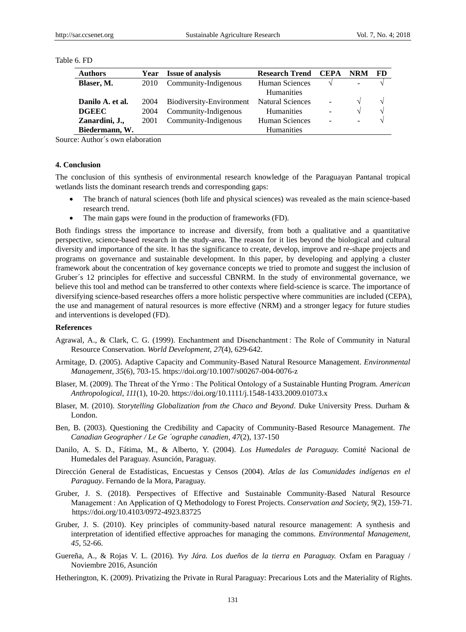| Table 6. FD |  |  |
|-------------|--|--|
|             |  |  |

| <b>Authors</b>   | Year | <b>Issue of analysis</b> | <b>Research Trend</b>   | <b>CEPA</b>              | <b>NRM</b>               | - FD          |
|------------------|------|--------------------------|-------------------------|--------------------------|--------------------------|---------------|
| Blaser, M.       | 2010 | Community-Indigenous     | Human Sciences          |                          |                          |               |
|                  |      |                          | <b>Humanities</b>       |                          |                          |               |
| Danilo A. et al. | 2004 | Biodiversity-Environment | <b>Natural Sciences</b> | $\blacksquare$           | N                        | $\mathcal{N}$ |
| <b>DGEEC</b>     | 2004 | Community-Indigenous     | <b>Humanities</b>       | $\blacksquare$           | V                        | $\mathcal{N}$ |
| Zanardini, J.,   | 2001 | Community-Indigenous     | Human Sciences          | $\overline{\phantom{m}}$ | $\overline{\phantom{0}}$ |               |
| Biedermann, W.   |      |                          | <b>Humanities</b>       |                          |                          |               |

Source: Author´s own elaboration

#### **4. Conclusion**

The conclusion of this synthesis of environmental research knowledge of the Paraguayan Pantanal tropical wetlands lists the dominant research trends and corresponding gaps:

- The branch of natural sciences (both life and physical sciences) was revealed as the main science-based research trend.
- The main gaps were found in the production of frameworks (FD).

Both findings stress the importance to increase and diversify, from both a qualitative and a quantitative perspective, science-based research in the study-area. The reason for it lies beyond the biological and cultural diversity and importance of the site. It has the significance to create, develop, improve and re-shape projects and programs on governance and sustainable development. In this paper, by developing and applying a cluster framework about the concentration of key governance concepts we tried to promote and suggest the inclusion of Gruber  $\acute{\text{s}}$  12 principles for effective and successful CBNRM. In the study of environmental governance, we believe this tool and method can be transferred to other contexts where field-science is scarce. The importance of diversifying science-based researches offers a more holistic perspective where communities are included (CEPA), the use and management of natural resources is more effective (NRM) and a stronger legacy for future studies and interventions is developed (FD).

#### **References**

- Agrawal, A., & Clark, C. G. (1999). Enchantment and Disenchantment : The Role of Community in Natural Resource Conservation. *World Development, 27*(4), 629-642.
- Armitage, D. (2005). Adaptive Capacity and Community-Based Natural Resource Management. *Environmental Management, 35*(6), 703-15. https://doi.org/10.1007/s00267-004-0076-z
- Blaser, M. (2009). The Threat of the Yrmo : The Political Ontology of a Sustainable Hunting Program. *American Anthropological, 111*(1), 10-20. https://doi.org/10.1111/j.1548-1433.2009.01073.x
- Blaser, M. (2010). *Storytelling Globalization from the Chaco and Beyond*. Duke University Press. Durham & London.
- Ben, B. (2003). Questioning the Credibility and Capacity of Community-Based Resource Management. *The Canadian Geographer / Le Ge ´ographe canadien, 47*(2), 137-150
- Danilo, A. S. D., Fátima, M., & Alberto, Y. (2004). *Los Humedales de Paraguay.* Comité Nacional de Humedales del Paraguay. Asunción, Paraguay.
- Dirección General de Estadísticas, Encuestas y Censos (2004). *Atlas de las Comunidades indígenas en el Paraguay*. Fernando de la Mora, Paraguay.
- Gruber, J. S. (2018). Perspectives of Effective and Sustainable Community-Based Natural Resource Management : An Application of Q Methodology to Forest Projects. *Conservation and Society, 9*(2), 159-71. https://doi.org/10.4103/0972-4923.83725
- Gruber, J. S. (2010). Key principles of community-based natural resource management: A synthesis and interpretation of identified effective approaches for managing the commons. *Environmental Management, 45*, 52-66.
- Guereña, A., & Rojas V. L. (2016)*. Yvy Jára. Los dueños de la tierra en Paraguay.* Oxfam en Paraguay / Noviembre 2016, Asunción
- Hetherington, K. (2009). Privatizing the Private in Rural Paraguay: Precarious Lots and the Materiality of Rights.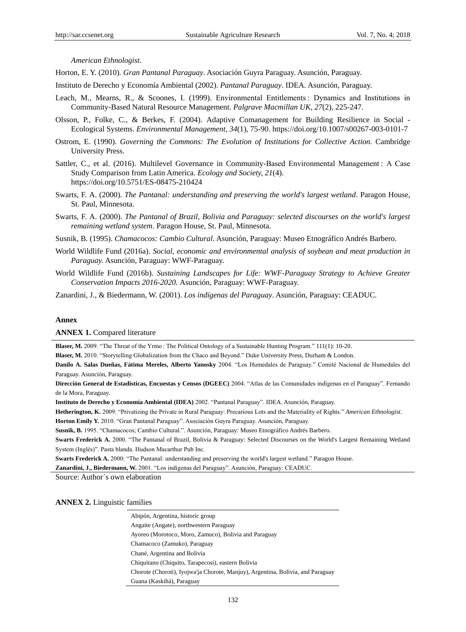*American Ethnologist*.

Horton, E. Y. (2010)*. Gran Pantanal Paraguay*. Asociación Guyra Paraguay. Asunción, Paraguay.

Instituto de Derecho y Economía Ambiental (2002). *Pantanal Paraguay*. IDEA. Asunción, Paraguay.

- Leach, M., Mearns, R., & Scoones, I. (1999). Environmental Entitlements : Dynamics and Institutions in Community-Based Natural Resource Management. *Palgrave Macmillan UK, 27*(2), 225-247.
- Olsson, P., Folke, C., & Berkes, F. (2004). Adaptive Comanagement for Building Resilience in Social Ecological Systems. *Environmental Management, 34*(1), 75-90. https://doi.org/10.1007/s00267-003-0101-7
- Ostrom, E. (1990). *Governing the Commons: The Evolution of Institutions for Collective Action.* Cambridge University Press.
- Sattler, C., et al. (2016). Multilevel Governance in Community-Based Environmental Management : A Case Study Comparison from Latin America. *Ecology and Society, 21*(4). https://doi.org/10.5751/ES-08475-210424
- Swarts, F. A. (2000). *The Pantanal: understanding and preserving the world's largest wetland*. Paragon House, St. Paul, Minnesota.
- Swarts, F. A. (2000). *The Pantanal of Brazil, Bolivia and Paraguay: selected discourses on the world's largest remaining wetland system*. Paragon House, St. Paul, Minnesota.
- Susnik, B. (1995). *Chamacocos: Cambio Cultural*. Asunción, Paraguay: Museo Etnográfico Andrés Barbero.
- World Wildlife Fund (2016a). *Social, economic and environmental analysis of soybean and meat production in Paraguay.* Asunción, Paraguay: WWF-Paraguay.
- World Wildlife Fund (2016b). *Sustaining Landscapes for Life: WWF-Paraguay Strategy to Achieve Greater Conservation Impacts 2016-2020.* Asunción, Paraguay: WWF-Paraguay.

Zanardini, J., & Biedermann, W. (2001). *Los indígenas del Paraguay*. Asunción, Paraguay: CEADUC.

#### **Annex**

#### **ANNEX 1.** Compared literature

**Blaser, M. 2009. "The Threat of the Yrmo**: The Political Ontology of a Sustainable Hunting Program." 111(1): 10-20.

**Blaser, M.** 2010. "Storytelling Globalization from the Chaco and Beyond." Duke University Press, Durham & London.

**Danilo A. Salas Dueñas, Fátima Mereles, Alberto Yanosky** 2004. "Los Humedales de Paraguay." Comité Nacional de Humedales del Paraguay. Asunción, Paraguay.

**Dirección General de Estadísticas, Encuestas y Censos (DGEEC)** 2004. "Atlas de las Comunidades indígenas en el Paraguay". Fernando de la Mora, Paraguay.

**Instituto de Derecho y Economía Ambiental (IDEA)** 2002. "Pantanal Paraguay". IDEA. Asunción, Paraguay.

**Hetherington, K.** 2009. "Privatizing the Private in Rural Paraguay: Precarious Lots and the Materiality of Rights." *American Ethnologist*.

**Horton Emily Y.** 2010. "Gran Pantanal Paraguay". Asociación Guyra Paraguay. Asunción, Paraguay.

**Susnik, B.** 1995. "Chamacocos; Cambio Cultural.". Asunción, Paraguay: Museo Etnográfico Andrés Barbero.

**Swarts Frederick A.** 2000. "The Pantanal of Brazil, Bolivia & Paraguay: Selected Discourses on the World's Largest Remaining Wetland System (Inglés)". Pasta blanda. Hudson Macarthur Pub Inc.

**Swarts Frederick A.** 2000: "The Pantanal: understanding and preserving the world's largest wetland." Paragon House.

**Zanardini, J., Biedermann, W.** 2001. "Los indígenas del Paraguay". Asunción, Paraguay: CEADUC.

Source: Author´s own elaboration

**ANNEX 2.** Linguistic families

Abipón, Argentina, historic group Angaite (Angate), northwestern Paraguay Ayoreo (Morotoco, Moro, Zamuco), Bolivia and Paraguay Chamacoco (Zamuko), Paraguay Chané, Argentina and Bolivia Chiquitano (Chiquito, Tarapecosi), eastern Bolivia Chorote (Choroti), Iyojwa'ja Chorote, Manjuy), Argentina, Bolivia, and Paraguay Guana (Kaskihá), Paraguay